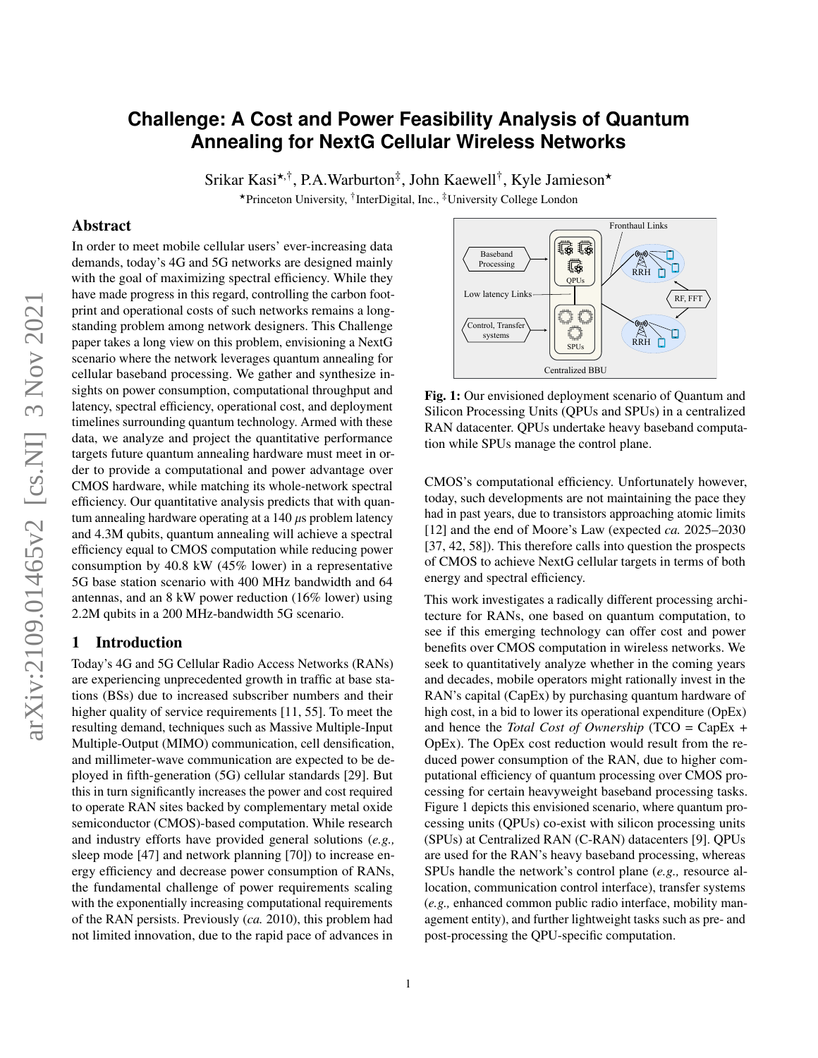# **Challenge: A Cost and Power Feasibility Analysis of Quantum Annealing for NextG Cellular Wireless Networks**

Srikar Kasi<sup>\*,†</sup>, P.A.Warburton<sup>‡</sup>, John Kaewell<sup>†</sup>, Kyle Jamieson\* ★Princeton University, † InterDigital, Inc., ‡University College London

#### Abstract

In order to meet mobile cellular users' ever-increasing data demands, today's 4G and 5G networks are designed mainly with the goal of maximizing spectral efficiency. While they have made progress in this regard, controlling the carbon footprint and operational costs of such networks remains a longstanding problem among network designers. This Challenge paper takes a long view on this problem, envisioning a NextG scenario where the network leverages quantum annealing for cellular baseband processing. We gather and synthesize insights on power consumption, computational throughput and latency, spectral efficiency, operational cost, and deployment timelines surrounding quantum technology. Armed with these data, we analyze and project the quantitative performance targets future quantum annealing hardware must meet in order to provide a computational and power advantage over CMOS hardware, while matching its whole-network spectral efficiency. Our quantitative analysis predicts that with quantum annealing hardware operating at a  $140 \mu s$  problem latency and 4.3M qubits, quantum annealing will achieve a spectral efficiency equal to CMOS computation while reducing power consumption by 40.8 kW (45% lower) in a representative 5G base station scenario with 400 MHz bandwidth and 64 antennas, and an 8 kW power reduction (16% lower) using 2.2M qubits in a 200 MHz-bandwidth 5G scenario.

#### 1 Introduction

Today's 4G and 5G Cellular Radio Access Networks (RANs) are experiencing unprecedented growth in traffic at base stations (BSs) due to increased subscriber numbers and their higher quality of service requirements [\[11,](#page-10-0) [55\]](#page-11-0). To meet the resulting demand, techniques such as Massive Multiple-Input Multiple-Output (MIMO) communication, cell densification, and millimeter-wave communication are expected to be deployed in fifth-generation (5G) cellular standards [\[29\]](#page-10-1). But this in turn significantly increases the power and cost required to operate RAN sites backed by complementary metal oxide semiconductor (CMOS)-based computation. While research and industry efforts have provided general solutions (*e.g.,* sleep mode [\[47\]](#page-10-2) and network planning [\[70\]](#page-11-1)) to increase energy efficiency and decrease power consumption of RANs, the fundamental challenge of power requirements scaling with the exponentially increasing computational requirements of the RAN persists. Previously (*ca.* 2010), this problem had not limited innovation, due to the rapid pace of advances in

<span id="page-0-0"></span>

Fig. 1: Our envisioned deployment scenario of Quantum and Silicon Processing Units (QPUs and SPUs) in a centralized RAN datacenter. QPUs undertake heavy baseband computation while SPUs manage the control plane.

CMOS's computational efficiency. Unfortunately however, today, such developments are not maintaining the pace they had in past years, due to transistors approaching atomic limits [\[12\]](#page-10-3) and the end of Moore's Law (expected *ca.* 2025–2030 [\[37,](#page-10-4) [42,](#page-10-5) [58\]](#page-11-2)). This therefore calls into question the prospects of CMOS to achieve NextG cellular targets in terms of both energy and spectral efficiency.

This work investigates a radically different processing architecture for RANs, one based on quantum computation, to see if this emerging technology can offer cost and power benefits over CMOS computation in wireless networks. We seek to quantitatively analyze whether in the coming years and decades, mobile operators might rationally invest in the RAN's capital (CapEx) by purchasing quantum hardware of high cost, in a bid to lower its operational expenditure (OpEx) and hence the *Total Cost of Ownership* (TCO = CapEx + OpEx). The OpEx cost reduction would result from the reduced power consumption of the RAN, due to higher computational efficiency of quantum processing over CMOS processing for certain heavyweight baseband processing tasks. Figure [1](#page-0-0) depicts this envisioned scenario, where quantum processing units (QPUs) co-exist with silicon processing units (SPUs) at Centralized RAN (C-RAN) datacenters [\[9\]](#page-9-0). QPUs are used for the RAN's heavy baseband processing, whereas SPUs handle the network's control plane (*e.g.,* resource allocation, communication control interface), transfer systems (*e.g.,* enhanced common public radio interface, mobility management entity), and further lightweight tasks such as pre- and post-processing the QPU-specific computation.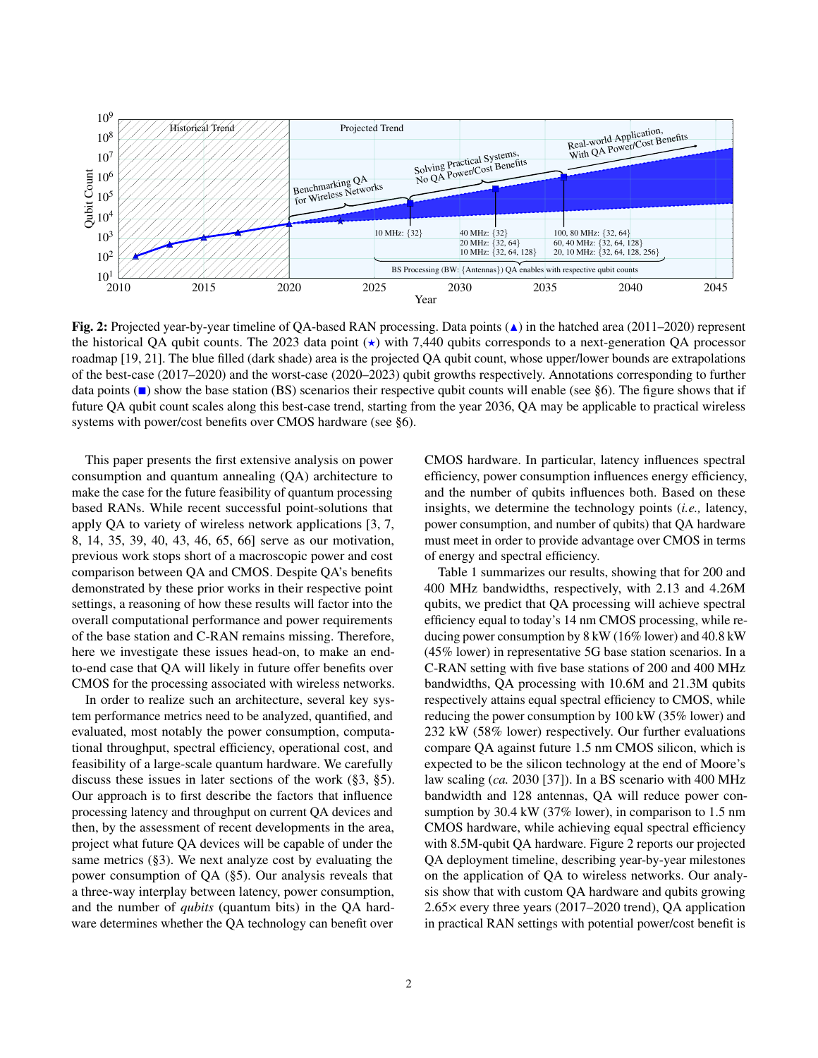<span id="page-1-0"></span>

Fig. 2: Projected year-by-year timeline of QA-based RAN processing. Data points  $(4)$  in the hatched area (2011–2020) represent the historical QA qubit counts. The 2023 data point  $(\star)$  with 7,440 qubits corresponds to a next-generation QA processor roadmap [\[19,](#page-10-6) [21\]](#page-10-7). The blue filled (dark shade) area is the projected QA qubit count, whose upper/lower bounds are extrapolations of the best-case (2017–2020) and the worst-case (2020–2023) qubit growths respectively. Annotations corresponding to further data points ( $\blacksquare$ ) show the base station (BS) scenarios their respective qubit counts will enable (see [§6\)](#page-9-1). The figure shows that if future QA qubit count scales along this best-case trend, starting from the year 2036, QA may be applicable to practical wireless systems with power/cost benefits over CMOS hardware (see [§6\)](#page-9-1).

This paper presents the first extensive analysis on power consumption and quantum annealing (QA) architecture to make the case for the future feasibility of quantum processing based RANs. While recent successful point-solutions that apply QA to variety of wireless network applications [\[3,](#page-9-2) [7,](#page-9-3) [8,](#page-9-4) [14,](#page-10-8) [35,](#page-10-9) [39,](#page-10-10) [40,](#page-10-11) [43,](#page-10-12) [46,](#page-10-13) [65,](#page-11-3) [66\]](#page-11-4) serve as our motivation, previous work stops short of a macroscopic power and cost comparison between QA and CMOS. Despite QA's benefits demonstrated by these prior works in their respective point settings, a reasoning of how these results will factor into the overall computational performance and power requirements of the base station and C-RAN remains missing. Therefore, here we investigate these issues head-on, to make an endto-end case that QA will likely in future offer benefits over CMOS for the processing associated with wireless networks.

In order to realize such an architecture, several key system performance metrics need to be analyzed, quantified, and evaluated, most notably the power consumption, computational throughput, spectral efficiency, operational cost, and feasibility of a large-scale quantum hardware. We carefully discuss these issues in later sections of the work ([§3,](#page-2-0) [§5\)](#page-6-0). Our approach is to first describe the factors that influence processing latency and throughput on current QA devices and then, by the assessment of recent developments in the area, project what future QA devices will be capable of under the same metrics ([§3\)](#page-2-0). We next analyze cost by evaluating the power consumption of QA ([§5\)](#page-6-0). Our analysis reveals that a three-way interplay between latency, power consumption, and the number of *qubits* (quantum bits) in the QA hardware determines whether the QA technology can benefit over

CMOS hardware. In particular, latency influences spectral efficiency, power consumption influences energy efficiency, and the number of qubits influences both. Based on these insights, we determine the technology points (*i.e.,* latency, power consumption, and number of qubits) that QA hardware must meet in order to provide advantage over CMOS in terms of energy and spectral efficiency.

Table [1](#page-2-1) summarizes our results, showing that for 200 and 400 MHz bandwidths, respectively, with 2.13 and 4.26M qubits, we predict that QA processing will achieve spectral efficiency equal to today's 14 nm CMOS processing, while reducing power consumption by 8 kW (16% lower) and 40.8 kW (45% lower) in representative 5G base station scenarios. In a C-RAN setting with five base stations of 200 and 400 MHz bandwidths, QA processing with 10.6M and 21.3M qubits respectively attains equal spectral efficiency to CMOS, while reducing the power consumption by 100 kW (35% lower) and 232 kW (58% lower) respectively. Our further evaluations compare QA against future 1.5 nm CMOS silicon, which is expected to be the silicon technology at the end of Moore's law scaling (*ca.* 2030 [\[37\]](#page-10-4)). In a BS scenario with 400 MHz bandwidth and 128 antennas, QA will reduce power consumption by 30.4 kW (37% lower), in comparison to 1.5 nm CMOS hardware, while achieving equal spectral efficiency with 8.5M-qubit QA hardware. Figure [2](#page-1-0) reports our projected QA deployment timeline, describing year-by-year milestones on the application of QA to wireless networks. Our analysis show that with custom QA hardware and qubits growing 2.65× every three years (2017–2020 trend), QA application in practical RAN settings with potential power/cost benefit is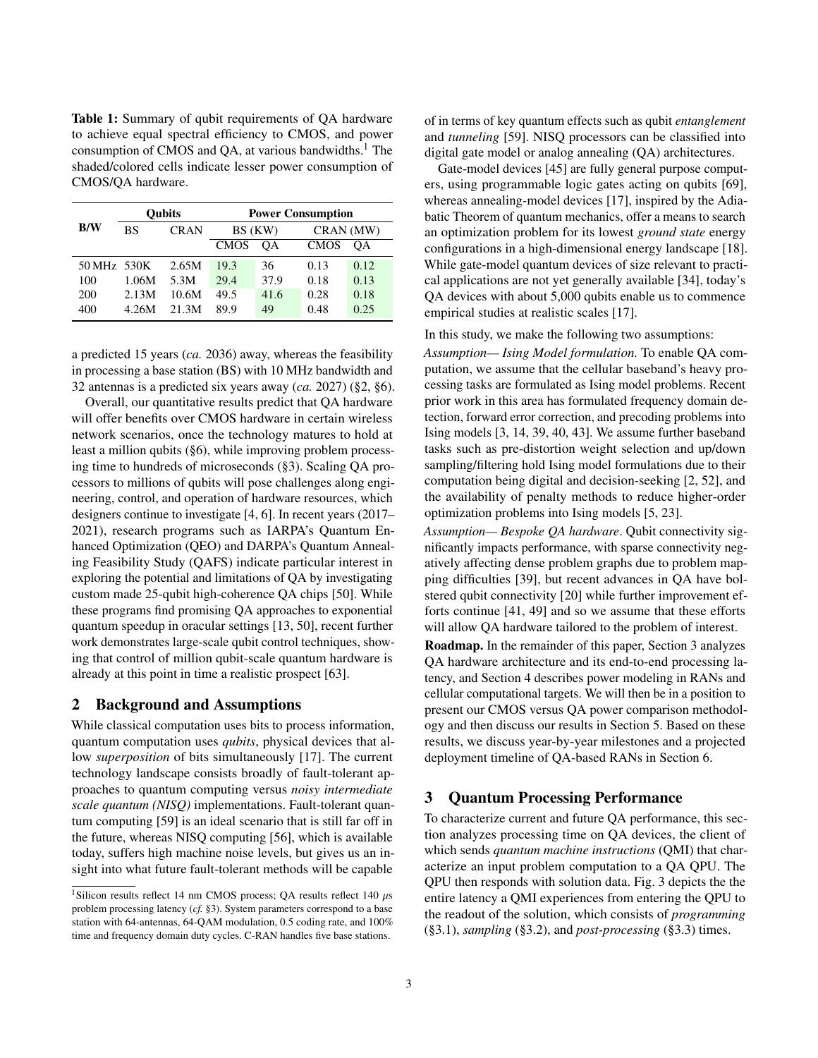<span id="page-2-1"></span>Table 1: Summary of qubit requirements of QA hardware to achieve equal spectral efficiency to CMOS, and power consumption of CMOS and QA, at various bandwidths. $<sup>1</sup>$  $<sup>1</sup>$  $<sup>1</sup>$  The</sup> shaded/colored cells indicate lesser power consumption of CMOS/QA hardware.

|             |       | <b>Oubits</b> | <b>Power Consumption</b> |      |             |      |  |
|-------------|-------|---------------|--------------------------|------|-------------|------|--|
| B/W         | BS    | <b>CRAN</b>   | BS (KW)                  |      | CRAN (MW)   |      |  |
|             |       |               | <b>CMOS</b>              | OΑ   | <b>CMOS</b> | OА   |  |
| 50 MHz 530K |       | 2.65M         | 19.3                     | 36   | 0.13        | 0.12 |  |
| 100         | 1.06M | 5.3M          | 29.4                     | 37.9 | 0.18        | 0.13 |  |
| 200         | 2.13M | 10.6M         | 49.5                     | 41.6 | 0.28        | 0.18 |  |
| 400         | 4.26M | 21.3M         | 89.9                     | 49   | 0.48        | 0.25 |  |

a predicted 15 years (*ca.* 2036) away, whereas the feasibility in processing a base station (BS) with 10 MHz bandwidth and 32 antennas is a predicted six years away (*ca.* 2027) ([§2,](#page-2-3) [§6\)](#page-9-1).

Overall, our quantitative results predict that QA hardware will offer benefits over CMOS hardware in certain wireless network scenarios, once the technology matures to hold at least a million qubits ([§6\)](#page-9-1), while improving problem processing time to hundreds of microseconds ([§3\)](#page-2-0). Scaling QA processors to millions of qubits will pose challenges along engineering, control, and operation of hardware resources, which designers continue to investigate [\[4,](#page-9-5) [6\]](#page-9-6). In recent years (2017– 2021), research programs such as IARPA's Quantum Enhanced Optimization (QEO) and DARPA's Quantum Annealing Feasibility Study (QAFS) indicate particular interest in exploring the potential and limitations of QA by investigating custom made 25-qubit high-coherence QA chips [\[50\]](#page-11-5). While these programs find promising QA approaches to exponential quantum speedup in oracular settings [\[13,](#page-10-14) [50\]](#page-11-5), recent further work demonstrates large-scale qubit control techniques, showing that control of million qubit-scale quantum hardware is already at this point in time a realistic prospect [\[63\]](#page-11-6).

## <span id="page-2-3"></span>2 Background and Assumptions

While classical computation uses bits to process information, quantum computation uses *qubits*, physical devices that allow *superposition* of bits simultaneously [\[17\]](#page-10-15). The current technology landscape consists broadly of fault-tolerant approaches to quantum computing versus *noisy intermediate scale quantum (NISQ)* implementations. Fault-tolerant quantum computing [\[59\]](#page-11-7) is an ideal scenario that is still far off in the future, whereas NISQ computing [\[56\]](#page-11-8), which is available today, suffers high machine noise levels, but gives us an insight into what future fault-tolerant methods will be capable

of in terms of key quantum effects such as qubit *entanglement* and *tunneling* [\[59\]](#page-11-7). NISQ processors can be classified into digital gate model or analog annealing (QA) architectures.

Gate-model devices [\[45\]](#page-10-16) are fully general purpose computers, using programmable logic gates acting on qubits [\[69\]](#page-11-9), whereas annealing-model devices [\[17\]](#page-10-15), inspired by the Adiabatic Theorem of quantum mechanics, offer a means to search an optimization problem for its lowest *ground state* energy configurations in a high-dimensional energy landscape [\[18\]](#page-10-17). While gate-model quantum devices of size relevant to practical applications are not yet generally available [\[34\]](#page-10-18), today's QA devices with about 5,000 qubits enable us to commence empirical studies at realistic scales [\[17\]](#page-10-15).

In this study, we make the following two assumptions:

*Assumption— Ising Model formulation.* To enable QA computation, we assume that the cellular baseband's heavy processing tasks are formulated as Ising model problems. Recent prior work in this area has formulated frequency domain detection, forward error correction, and precoding problems into Ising models [\[3,](#page-9-2) [14,](#page-10-8) [39,](#page-10-10) [40,](#page-10-11) [43\]](#page-10-12). We assume further baseband tasks such as pre-distortion weight selection and up/down sampling/filtering hold Ising model formulations due to their computation being digital and decision-seeking [\[2,](#page-9-7) [52\]](#page-11-10), and the availability of penalty methods to reduce higher-order optimization problems into Ising models [\[5,](#page-9-8) [23\]](#page-10-19).

*Assumption— Bespoke QA hardware*. Qubit connectivity significantly impacts performance, with sparse connectivity negatively affecting dense problem graphs due to problem mapping difficulties [\[39\]](#page-10-10), but recent advances in QA have bolstered qubit connectivity [\[20\]](#page-10-20) while further improvement efforts continue [\[41,](#page-10-21) [49\]](#page-10-22) and so we assume that these efforts will allow QA hardware tailored to the problem of interest.

Roadmap. In the remainder of this paper, Section [3](#page-2-0) analyzes QA hardware architecture and its end-to-end processing latency, and Section [4](#page-5-0) describes power modeling in RANs and cellular computational targets. We will then be in a position to present our CMOS versus QA power comparison methodology and then discuss our results in Section [5.](#page-6-0) Based on these results, we discuss year-by-year milestones and a projected deployment timeline of QA-based RANs in Section [6.](#page-9-1)

### <span id="page-2-0"></span>3 Quantum Processing Performance

To characterize current and future QA performance, this section analyzes processing time on QA devices, the client of which sends *quantum machine instructions* (QMI) that characterize an input problem computation to a QA QPU. The QPU then responds with solution data. Fig. [3](#page-3-0) depicts the the entire latency a QMI experiences from entering the QPU to the readout of the solution, which consists of *programming* ([§3.1\)](#page-3-1), *sampling* ([§3.2\)](#page-3-2), and *post-processing* ([§3.3\)](#page-4-0) times.

<span id="page-2-2"></span><sup>&</sup>lt;sup>1</sup>Silicon results reflect 14 nm CMOS process; QA results reflect 140  $\mu$ s problem processing latency (*cf.* [§3\)](#page-2-0). System parameters correspond to a base station with 64-antennas, 64-QAM modulation, 0.5 coding rate, and 100% time and frequency domain duty cycles. C-RAN handles five base stations.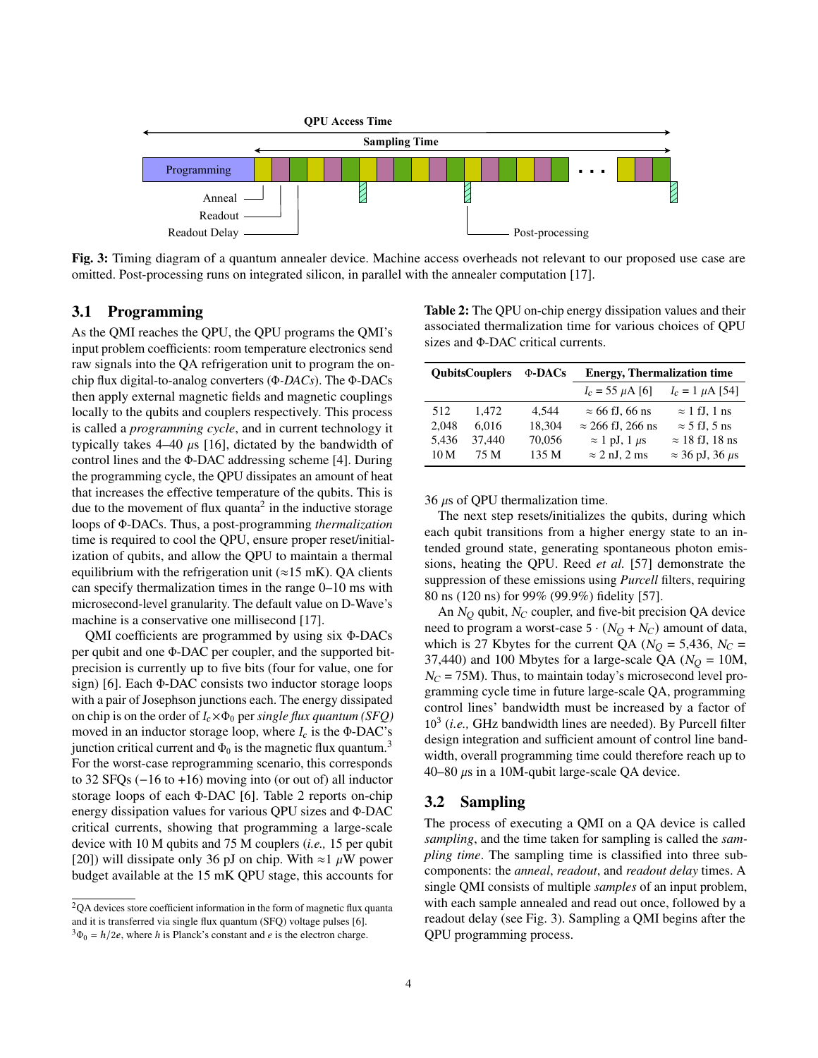<span id="page-3-0"></span>

Fig. 3: Timing diagram of a quantum annealer device. Machine access overheads not relevant to our proposed use case are omitted. Post-processing runs on integrated silicon, in parallel with the annealer computation [\[17\]](#page-10-15).

# <span id="page-3-1"></span>3.1 Programming

As the QMI reaches the QPU, the QPU programs the QMI's input problem coefficients: room temperature electronics send raw signals into the QA refrigeration unit to program the onchip flux digital-to-analog converters (Φ*-DACs*). The Φ-DACs then apply external magnetic fields and magnetic couplings locally to the qubits and couplers respectively. This process is called a *programming cycle*, and in current technology it typically takes  $4-40 \mu s$  [\[16\]](#page-10-23), dictated by the bandwidth of control lines and the Φ-DAC addressing scheme [\[4\]](#page-9-5). During the programming cycle, the QPU dissipates an amount of heat that increases the effective temperature of the qubits. This is due to the movement of flux quanta<sup>[2](#page-3-3)</sup> in the inductive storage loops of Φ-DACs. Thus, a post-programming *thermalization* time is required to cool the QPU, ensure proper reset/initialization of qubits, and allow the QPU to maintain a thermal equilibrium with the refrigeration unit ( $\approx$ 15 mK). QA clients can specify thermalization times in the range 0–10 ms with microsecond-level granularity. The default value on D-Wave's machine is a conservative one millisecond [\[17\]](#page-10-15).

QMI coefficients are programmed by using six Φ-DACs per qubit and one Φ-DAC per coupler, and the supported bitprecision is currently up to five bits (four for value, one for sign) [\[6\]](#page-9-6). Each Φ-DAC consists two inductor storage loops with a pair of Josephson junctions each. The energy dissipated on chip is on the order of  $I_c \times \Phi_0$  per *single flux quantum (SFQ)* moved in an inductor storage loop, where  $I_c$  is the Φ-DAC's junction critical current and  $\Phi_0$  is the magnetic flux quantum.<sup>[3](#page-3-4)</sup> For the worst-case reprogramming scenario, this corresponds to 32 SFQs (−16 to +16) moving into (or out of) all inductor storage loops of each Φ-DAC [\[6\]](#page-9-6). Table [2](#page-3-5) reports on-chip energy dissipation values for various QPU sizes and Φ-DAC critical currents, showing that programming a large-scale device with 10 M qubits and 75 M couplers (*i.e.,* 15 per qubit [\[20\]](#page-10-20)) will dissipate only 36 pJ on chip. With  $\approx$ 1  $\mu$ W power budget available at the 15 mK QPU stage, this accounts for

<span id="page-3-5"></span>Table 2: The QPU on-chip energy dissipation values and their associated thermalization time for various choices of QPU sizes and Φ-DAC critical currents.

| <b>OubitsCouplers</b> |        | $\Phi$ -DACs | <b>Energy, Thermalization time</b> |                             |  |
|-----------------------|--------|--------------|------------------------------------|-----------------------------|--|
|                       |        |              | $I_c = 55 \mu A$ [6]               | $I_c = 1 \mu A$ [54]        |  |
| 512                   | 1.472  | 4.544        | $\approx$ 66 fJ, 66 ns             | $\approx$ 1 fJ, 1 ns        |  |
| 2,048                 | 6,016  | 18,304       | $\approx$ 266 fJ, 266 ns           | $\approx$ 5 fJ, 5 ns        |  |
| 5.436                 | 37.440 | 70,056       | $\approx$ 1 pJ, 1 $\mu$ s          | $\approx$ 18 fJ, 18 ns      |  |
| 10 <sub>M</sub>       | 75 M   | 135 M        | $\approx$ 2 nJ, 2 ms               | $\approx$ 36 pJ, 36 $\mu$ s |  |

36  $\mu$ s of QPU thermalization time.

The next step resets/initializes the qubits, during which each qubit transitions from a higher energy state to an intended ground state, generating spontaneous photon emissions, heating the QPU. Reed *et al.* [\[57\]](#page-11-12) demonstrate the suppression of these emissions using *Purcell* filters, requiring 80 ns (120 ns) for 99% (99.9%) fidelity [\[57\]](#page-11-12).

An  $N_Q$  qubit,  $N_C$  coupler, and five-bit precision QA device need to program a worst-case  $5 \cdot (N_Q + N_C)$  amount of data, which is 27 Kbytes for the current QA ( $N_Q = 5,436$ ,  $N_C =$ 37,440) and 100 Mbytes for a large-scale QA ( $N_Q = 10M$ ,  $N_C = 75M$ ). Thus, to maintain today's microsecond level programming cycle time in future large-scale QA, programming control lines' bandwidth must be increased by a factor of 10<sup>3</sup> (*i.e.,* GHz bandwidth lines are needed). By Purcell filter design integration and sufficient amount of control line bandwidth, overall programming time could therefore reach up to 40–80  $\mu$ s in a 10M-qubit large-scale QA device.

#### <span id="page-3-2"></span>3.2 Sampling

The process of executing a QMI on a QA device is called *sampling*, and the time taken for sampling is called the *sampling time*. The sampling time is classified into three subcomponents: the *anneal*, *readout*, and *readout delay* times. A single QMI consists of multiple *samples* of an input problem, with each sample annealed and read out once, followed by a readout delay (see Fig. [3\)](#page-3-0). Sampling a QMI begins after the QPU programming process.

<span id="page-3-3"></span><sup>2</sup>QA devices store coefficient information in the form of magnetic flux quanta and it is transferred via single flux quantum (SFQ) voltage pulses [\[6\]](#page-9-6).  $3\Phi_0 = h/2e$ , where *h* is Planck's constant and *e* is the electron charge.

<span id="page-3-4"></span>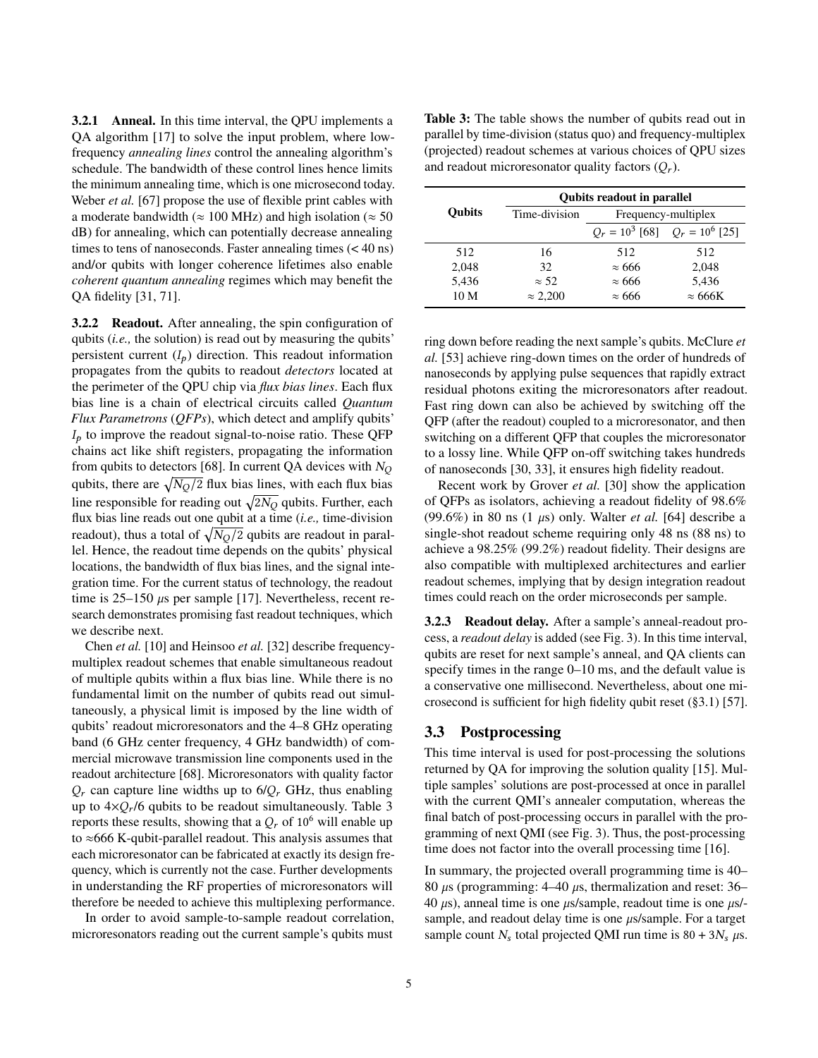3.2.1 Anneal. In this time interval, the QPU implements a QA algorithm [\[17\]](#page-10-15) to solve the input problem, where lowfrequency *annealing lines* control the annealing algorithm's schedule. The bandwidth of these control lines hence limits the minimum annealing time, which is one microsecond today. Weber *et al.* [\[67\]](#page-11-13) propose the use of flexible print cables with a moderate bandwidth ( $\approx 100$  MHz) and high isolation ( $\approx 50$ dB) for annealing, which can potentially decrease annealing times to tens of nanoseconds. Faster annealing times (< 40 ns) and/or qubits with longer coherence lifetimes also enable *coherent quantum annealing* regimes which may benefit the QA fidelity [\[31,](#page-10-24) [71\]](#page-11-14).

**3.2.2 Readout.** After annealing, the spin configuration of qubits (*i.e.,* the solution) is read out by measuring the qubits' persistent current  $(I_p)$  direction. This readout information propagates from the qubits to readout *detectors* located at the perimeter of the QPU chip via *flux bias lines*. Each flux bias line is a chain of electrical circuits called *Quantum Flux Parametrons* (*QFPs*), which detect and amplify qubits'  $I<sub>p</sub>$  to improve the readout signal-to-noise ratio. These QFP chains act like shift registers, propagating the information from qubits to detectors [\[68\]](#page-11-15). In current QA devices with  $N_Q$ qubits, there are  $\sqrt{N_Q/2}$  flux bias lines, with each flux bias line responsible for reading out  $\sqrt{2N_Q}$  qubits. Further, each flux bias line reads out one qubit at a time (*i.e.,* time-division readout), thus a total of  $\sqrt{N_Q/2}$  qubits are readout in parallel. Hence, the readout time depends on the qubits' physical locations, the bandwidth of flux bias lines, and the signal integration time. For the current status of technology, the readout time is  $25-150 \mu s$  per sample [\[17\]](#page-10-15). Nevertheless, recent research demonstrates promising fast readout techniques, which we describe next.

Chen *et al.* [\[10\]](#page-10-25) and Heinsoo *et al.* [\[32\]](#page-10-26) describe frequencymultiplex readout schemes that enable simultaneous readout of multiple qubits within a flux bias line. While there is no fundamental limit on the number of qubits read out simultaneously, a physical limit is imposed by the line width of qubits' readout microresonators and the 4–8 GHz operating band (6 GHz center frequency, 4 GHz bandwidth) of commercial microwave transmission line components used in the readout architecture [\[68\]](#page-11-15). Microresonators with quality factor  $Q_r$  can capture line widths up to 6/ $Q_r$  GHz, thus enabling up to  $4 \times Q_r/6$  qubits to be readout simultaneously. Table [3](#page-4-1) reports these results, showing that a  $Q_r$  of 10<sup>6</sup> will enable up to ≈666 K-qubit-parallel readout. This analysis assumes that each microresonator can be fabricated at exactly its design frequency, which is currently not the case. Further developments in understanding the RF properties of microresonators will therefore be needed to achieve this multiplexing performance.

In order to avoid sample-to-sample readout correlation, microresonators reading out the current sample's qubits must

<span id="page-4-1"></span>Table 3: The table shows the number of qubits read out in parallel by time-division (status quo) and frequency-multiplex (projected) readout schemes at various choices of QPU sizes and readout microresonator quality factors  $(Q_r)$ .

|               | <b>Qubits readout in parallel</b> |                                     |                |  |  |  |
|---------------|-----------------------------------|-------------------------------------|----------------|--|--|--|
| <b>Oubits</b> | Time-division                     | Frequency-multiplex                 |                |  |  |  |
|               |                                   | $Q_r = 10^3$ [68] $Q_r = 10^6$ [25] |                |  |  |  |
| 512           | 16                                | 512                                 | 512            |  |  |  |
| 2,048         | 32                                | $\approx 666$                       | 2,048          |  |  |  |
| 5,436         | $\approx$ 52                      | $\approx 666$                       | 5,436          |  |  |  |
| 10 M          | $\approx 2,200$                   | $\approx 666$                       | $\approx 666K$ |  |  |  |

ring down before reading the next sample's qubits. McClure *et al.* [\[53\]](#page-11-16) achieve ring-down times on the order of hundreds of nanoseconds by applying pulse sequences that rapidly extract residual photons exiting the microresonators after readout. Fast ring down can also be achieved by switching off the QFP (after the readout) coupled to a microresonator, and then switching on a different QFP that couples the microresonator to a lossy line. While QFP on-off switching takes hundreds of nanoseconds [\[30,](#page-10-28) [33\]](#page-10-29), it ensures high fidelity readout.

Recent work by Grover *et al.* [\[30\]](#page-10-28) show the application of QFPs as isolators, achieving a readout fidelity of 98.6%  $(99.6\%)$  in 80 ns  $(1 \mu s)$  only. Walter *et al.* [\[64\]](#page-11-17) describe a single-shot readout scheme requiring only 48 ns (88 ns) to achieve a 98.25% (99.2%) readout fidelity. Their designs are also compatible with multiplexed architectures and earlier readout schemes, implying that by design integration readout times could reach on the order microseconds per sample.

3.2.3 Readout delay. After a sample's anneal-readout process, a *readout delay* is added (see Fig. [3\)](#page-3-0). In this time interval, qubits are reset for next sample's anneal, and QA clients can specify times in the range 0–10 ms, and the default value is a conservative one millisecond. Nevertheless, about one microsecond is sufficient for high fidelity qubit reset (§3.1) [\[57\]](#page-11-12).

#### <span id="page-4-0"></span>3.3 Postprocessing

This time interval is used for post-processing the solutions returned by QA for improving the solution quality [\[15\]](#page-10-30). Multiple samples' solutions are post-processed at once in parallel with the current QMI's annealer computation, whereas the final batch of post-processing occurs in parallel with the programming of next QMI (see Fig. [3\)](#page-3-0). Thus, the post-processing time does not factor into the overall processing time [\[16\]](#page-10-23).

In summary, the projected overall programming time is 40– 80  $\mu$ s (programming: 4–40  $\mu$ s, thermalization and reset: 36– 40  $\mu$ s), anneal time is one  $\mu$ s/sample, readout time is one  $\mu$ s/sample, and readout delay time is one  $\mu$ s/sample. For a target sample count  $N_s$  total projected QMI run time is 80 + 3 $N_s \mu$ s.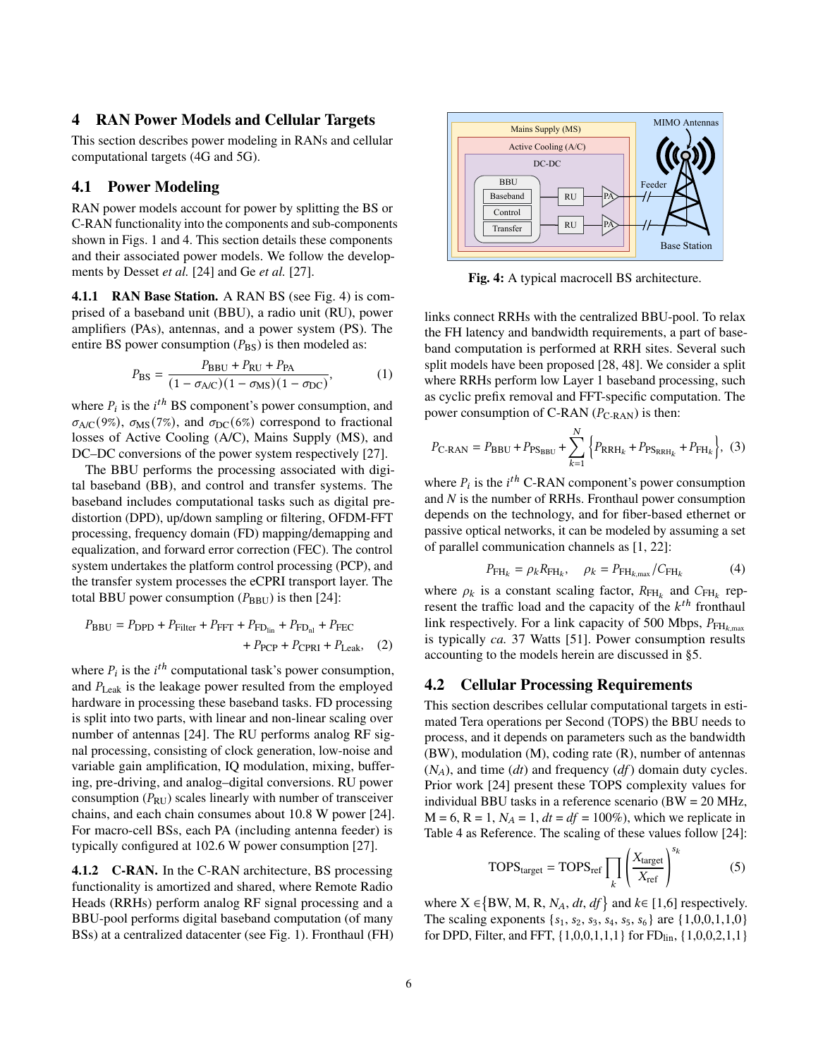### <span id="page-5-0"></span>4 RAN Power Models and Cellular Targets

This section describes power modeling in RANs and cellular computational targets (4G and 5G).

#### 4.1 Power Modeling

RAN power models account for power by splitting the BS or C-RAN functionality into the components and sub-components shown in Figs. [1](#page-0-0) and [4.](#page-5-1) This section details these components and their associated power models. We follow the developments by Desset *et al.* [\[24\]](#page-10-31) and Ge *et al.* [\[27\]](#page-10-32).

4.1.1 RAN Base Station. A RAN BS (see Fig. [4\)](#page-5-1) is comprised of a baseband unit (BBU), a radio unit (RU), power amplifiers (PAs), antennas, and a power system (PS). The entire BS power consumption  $(P_{BS})$  is then modeled as:

$$
P_{\rm BS} = \frac{P_{\rm BBU} + P_{\rm RU} + P_{\rm PA}}{(1 - \sigma_{\rm AC})(1 - \sigma_{\rm MS})(1 - \sigma_{\rm DC})},\tag{1}
$$

where  $P_i$  is the  $i^{th}$  BS component's power consumption, and  $\sigma_{A/C}(9\%)$ ,  $\sigma_{MS}(7\%)$ , and  $\sigma_{DC}(6\%)$  correspond to fractional losses of Active Cooling (A/C), Mains Supply (MS), and DC–DC conversions of the power system respectively [\[27\]](#page-10-32).

The BBU performs the processing associated with digital baseband (BB), and control and transfer systems. The baseband includes computational tasks such as digital predistortion (DPD), up/down sampling or filtering, OFDM-FFT processing, frequency domain (FD) mapping/demapping and equalization, and forward error correction (FEC). The control system undertakes the platform control processing (PCP), and the transfer system processes the eCPRI transport layer. The total BBU power consumption  $(P_{BBU})$  is then [\[24\]](#page-10-31):

$$
P_{\text{BBU}} = P_{\text{DPD}} + P_{\text{Filter}} + P_{\text{FFT}} + P_{\text{FD}}_{\text{lin}} + P_{\text{FD}_{\text{nl}}} + P_{\text{FEC}} + P_{\text{PCP}} + P_{\text{CPRI}} + P_{\text{Leak}},
$$
 (2)

where  $P_i$  is the  $i^{th}$  computational task's power consumption, and  $P_{\text{Leak}}$  is the leakage power resulted from the employed hardware in processing these baseband tasks. FD processing is split into two parts, with linear and non-linear scaling over number of antennas [\[24\]](#page-10-31). The RU performs analog RF signal processing, consisting of clock generation, low-noise and variable gain amplification, IQ modulation, mixing, buffering, pre-driving, and analog–digital conversions. RU power consumption  $(P_{RU})$  scales linearly with number of transceiver chains, and each chain consumes about 10.8 W power [\[24\]](#page-10-31). For macro-cell BSs, each PA (including antenna feeder) is typically configured at 102.6 W power consumption [\[27\]](#page-10-32).

4.1.2 C-RAN. In the C-RAN architecture, BS processing functionality is amortized and shared, where Remote Radio Heads (RRHs) perform analog RF signal processing and a BBU-pool performs digital baseband computation (of many BSs) at a centralized datacenter (see Fig. [1\)](#page-0-0). Fronthaul (FH)

<span id="page-5-1"></span>

Fig. 4: A typical macrocell BS architecture.

links connect RRHs with the centralized BBU-pool. To relax the FH latency and bandwidth requirements, a part of baseband computation is performed at RRH sites. Several such split models have been proposed [\[28,](#page-10-33) [48\]](#page-10-34). We consider a split where RRHs perform low Layer 1 baseband processing, such as cyclic prefix removal and FFT-specific computation. The power consumption of C-RAN  $(P_{\text{C-RAN}})$  is then:

$$
P_{\text{C-RAN}} = P_{\text{BBU}} + P_{\text{PS}_{\text{BBU}}} + \sum_{k=1}^{N} \left\{ P_{\text{RRH}_k} + P_{\text{PS}_{\text{RRH}_k}} + P_{\text{FH}_k} \right\}, (3)
$$

where  $P_i$  is the  $i^{th}$  C-RAN component's power consumption and *N* is the number of RRHs. Fronthaul power consumption depends on the technology, and for fiber-based ethernet or passive optical networks, it can be modeled by assuming a set of parallel communication channels as [\[1,](#page-9-9) [22\]](#page-10-35):

$$
P_{\text{FH}_k} = \rho_k R_{\text{FH}_k}, \quad \rho_k = P_{\text{FH}_{k,\text{max}}} / C_{\text{FH}_k}
$$
(4)

where  $\rho_k$  is a constant scaling factor,  $R_{FH_k}$  and  $C_{FH_k}$  represent the traffic load and the capacity of the  $k^{th}$  fronthaul link respectively. For a link capacity of 500 Mbps,  $P_{FH_{k, max}}$ is typically *ca.* 37 Watts [\[51\]](#page-11-18). Power consumption results accounting to the models herein are discussed in [§5.](#page-6-0)

#### 4.2 Cellular Processing Requirements

This section describes cellular computational targets in estimated Tera operations per Second (TOPS) the BBU needs to process, and it depends on parameters such as the bandwidth (BW), modulation (M), coding rate (R), number of antennas  $(N_A)$ , and time  $(dt)$  and frequency  $(df)$  domain duty cycles. Prior work [\[24\]](#page-10-31) present these TOPS complexity values for individual BBU tasks in a reference scenario (BW = 20 MHz,  $M = 6$ ,  $R = 1$ ,  $N_A = 1$ ,  $dt = df = 100\%$ , which we replicate in Table [4](#page-6-1) as Reference. The scaling of these values follow [\[24\]](#page-10-31):

$$
TOPS_{target} = TOPS_{ref} \prod_{k} \left(\frac{X_{target}}{X_{ref}}\right)^{s_k}
$$
 (5)

where  $X \in \{BW, M, R, N_A, dt, df\}$  and  $k \in [1, 6]$  respectively. The scaling exponents  $\{s_1, s_2, s_3, s_4, s_5, s_6\}$  are  $\{1, 0, 0, 1, 1, 0\}$ for DPD, Filter, and FFT,  $\{1,0,0,1,1,1\}$  for FD<sub>lin</sub>,  $\{1,0,0,2,1,1\}$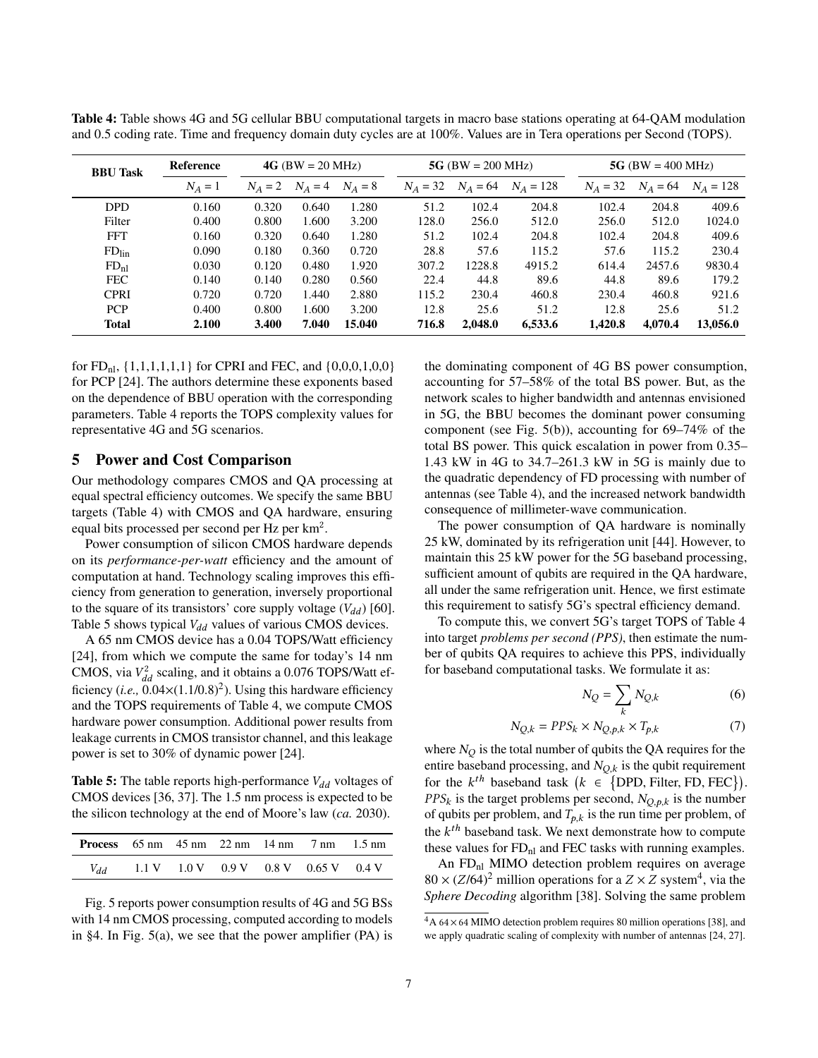| <b>BBU Task</b>   | Reference |           | $4G$ (BW = 20 MHz) |         |            | 5G (BW = 200 MHz) |             |            | 5G (BW = $400$ MHz) |             |  |
|-------------------|-----------|-----------|--------------------|---------|------------|-------------------|-------------|------------|---------------------|-------------|--|
|                   | $N_A=1$   | $N_A = 2$ | $N_A = 4$          | $N_A=8$ | $N_A = 32$ | $N_A = 64$        | $N_A = 128$ | $N_A = 32$ | $N_A = 64$          | $N_A = 128$ |  |
| <b>DPD</b>        | 0.160     | 0.320     | 0.640              | 1.280   | 51.2       | 102.4             | 204.8       | 102.4      | 204.8               | 409.6       |  |
| Filter            | 0.400     | 0.800     | 1.600              | 3.200   | 128.0      | 256.0             | 512.0       | 256.0      | 512.0               | 1024.0      |  |
| <b>FFT</b>        | 0.160     | 0.320     | 0.640              | 1.280   | 51.2       | 102.4             | 204.8       | 102.4      | 204.8               | 409.6       |  |
| FD <sub>lin</sub> | 0.090     | 0.180     | 0.360              | 0.720   | 28.8       | 57.6              | 115.2       | 57.6       | 115.2               | 230.4       |  |
| FD <sub>nl</sub>  | 0.030     | 0.120     | 0.480              | 1.920   | 307.2      | 1228.8            | 4915.2      | 614.4      | 2457.6              | 9830.4      |  |
| <b>FEC</b>        | 0.140     | 0.140     | 0.280              | 0.560   | 22.4       | 44.8              | 89.6        | 44.8       | 89.6                | 179.2       |  |
| <b>CPRI</b>       | 0.720     | 0.720     | 1.440              | 2.880   | 115.2      | 230.4             | 460.8       | 230.4      | 460.8               | 921.6       |  |
| <b>PCP</b>        | 0.400     | 0.800     | 1.600              | 3.200   | 12.8       | 25.6              | 51.2        | 12.8       | 25.6                | 51.2        |  |
| <b>Total</b>      | 2.100     | 3.400     | 7.040              | 15.040  | 716.8      | 2,048.0           | 6,533.6     | 1.420.8    | 4.070.4             | 13,056.0    |  |

<span id="page-6-1"></span>Table 4: Table shows 4G and 5G cellular BBU computational targets in macro base stations operating at 64-QAM modulation and 0.5 coding rate. Time and frequency domain duty cycles are at 100%. Values are in Tera operations per Second (TOPS).

for  $FD_{nl}$ ,  $\{1,1,1,1,1,1\}$  for CPRI and FEC, and  $\{0,0,0,1,0,0\}$ for PCP [\[24\]](#page-10-31). The authors determine these exponents based on the dependence of BBU operation with the corresponding parameters. Table [4](#page-6-1) reports the TOPS complexity values for representative 4G and 5G scenarios.

# <span id="page-6-0"></span>5 Power and Cost Comparison

Our methodology compares CMOS and QA processing at equal spectral efficiency outcomes. We specify the same BBU targets (Table [4\)](#page-6-1) with CMOS and QA hardware, ensuring equal bits processed per second per Hz per km<sup>2</sup>.

Power consumption of silicon CMOS hardware depends on its *performance-per-watt* efficiency and the amount of computation at hand. Technology scaling improves this efficiency from generation to generation, inversely proportional to the square of its transistors' core supply voltage  $(V_{dd})$  [\[60\]](#page-11-19). Table [5](#page-6-2) shows typical  $V_{dd}$  values of various CMOS devices.

A 65 nm CMOS device has a 0.04 TOPS/Watt efficiency [\[24\]](#page-10-31), from which we compute the same for today's 14 nm CMOS, via  $V_{dd}^2$  scaling, and it obtains a 0.076 TOPS/Watt efficiency (*i.e.*,  $0.04 \times (1.1/0.8)^2$ ). Using this hardware efficiency and the TOPS requirements of Table [4,](#page-6-1) we compute CMOS hardware power consumption. Additional power results from leakage currents in CMOS transistor channel, and this leakage power is set to 30% of dynamic power [\[24\]](#page-10-31).

<span id="page-6-2"></span>**Table 5:** The table reports high-performance  $V_{dd}$  voltages of CMOS devices [\[36,](#page-10-36) [37\]](#page-10-4). The 1.5 nm process is expected to be the silicon technology at the end of Moore's law (*ca.* 2030).

| <b>Process</b> $65 \text{ nm}$ $45 \text{ nm}$ $22 \text{ nm}$ $14 \text{ nm}$ $7 \text{ nm}$ $1.5 \text{ nm}$ |  |  |                                                                                                  |  |
|----------------------------------------------------------------------------------------------------------------|--|--|--------------------------------------------------------------------------------------------------|--|
| $V_{dd}$                                                                                                       |  |  | $1.1 \text{ V}$ $1.0 \text{ V}$ $0.9 \text{ V}$ $0.8 \text{ V}$ $0.65 \text{ V}$ $0.4 \text{ V}$ |  |

Fig. [5](#page-7-0) reports power consumption results of 4G and 5G BSs with 14 nm CMOS processing, computed according to models in [§4.](#page-5-0) In Fig. [5\(a\),](#page-7-0) we see that the power amplifier (PA) is the dominating component of 4G BS power consumption, accounting for 57–58% of the total BS power. But, as the network scales to higher bandwidth and antennas envisioned in 5G, the BBU becomes the dominant power consuming component (see Fig.  $5(b)$ ), accounting for 69–74% of the total BS power. This quick escalation in power from 0.35– 1.43 kW in 4G to 34.7–261.3 kW in 5G is mainly due to the quadratic dependency of FD processing with number of antennas (see Table [4\)](#page-6-1), and the increased network bandwidth consequence of millimeter-wave communication.

The power consumption of QA hardware is nominally 25 kW, dominated by its refrigeration unit [\[44\]](#page-10-37). However, to maintain this 25 kW power for the 5G baseband processing, sufficient amount of qubits are required in the QA hardware, all under the same refrigeration unit. Hence, we first estimate this requirement to satisfy 5G's spectral efficiency demand.

To compute this, we convert 5G's target TOPS of Table [4](#page-6-1) into target *problems per second (PPS)*, then estimate the number of qubits QA requires to achieve this PPS, individually for baseband computational tasks. We formulate it as:

<span id="page-6-4"></span>
$$
N_Q = \sum_k N_{Q,k} \tag{6}
$$

$$
N_{Q,k} = PPS_k \times N_{Q,p,k} \times T_{p,k}
$$
 (7)

where  $N_Q$  is the total number of qubits the QA requires for the entire baseband processing, and  $N_{O,k}$  is the qubit requirement for the  $k^{th}$  baseband task  $(k \in \{DPD, Filter, FD, FEC\})$ .  $PPS_k$  is the target problems per second,  $N_{Q,p,k}$  is the number of qubits per problem, and  $T_{p,k}$  is the run time per problem, of the  $k^{th}$  baseband task. We next demonstrate how to compute these values for  $FD<sub>nl</sub>$  and FEC tasks with running examples.

An  $FD<sub>nl</sub>$  MIMO detection problem requires on average  $80 \times (Z/64)^2$  $80 \times (Z/64)^2$  $80 \times (Z/64)^2$  million operations for a  $Z \times Z$  system<sup>4</sup>, via the *Sphere Decoding* algorithm [\[38\]](#page-10-38). Solving the same problem

<span id="page-6-3"></span> $4A\,64\times64$  MIMO detection problem requires 80 million operations [\[38\]](#page-10-38), and we apply quadratic scaling of complexity with number of antennas [\[24,](#page-10-31) [27\]](#page-10-32).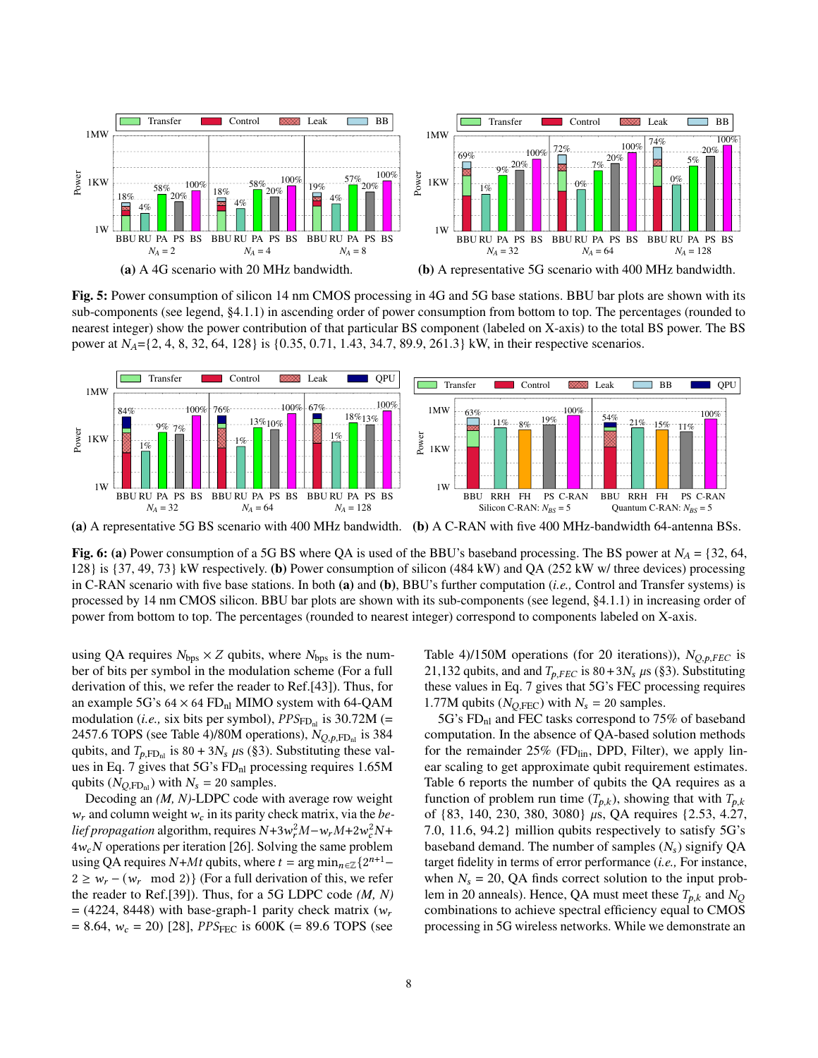<span id="page-7-0"></span>

Fig. 5: Power consumption of silicon 14 nm CMOS processing in 4G and 5G base stations. BBU bar plots are shown with its sub-components (see legend, §4.1.1) in ascending order of power consumption from bottom to top. The percentages (rounded to nearest integer) show the power contribution of that particular BS component (labeled on X-axis) to the total BS power. The BS power at  $N_A = \{2, 4, 8, 32, 64, 128\}$  is  $\{0.35, 0.71, 1.43, 34.7, 89.9, 261.3\}$  kW, in their respective scenarios.

<span id="page-7-1"></span>

(a) A representative 5G BS scenario with 400 MHz bandwidth. (b) A C-RAN with five 400 MHz-bandwidth 64-antenna BSs.

Fig. 6: (a) Power consumption of a 5G BS where QA is used of the BBU's baseband processing. The BS power at  $N_A = \{32, 64, \dots, 64\}$ 128} is {37, 49, 73} kW respectively. (b) Power consumption of silicon (484 kW) and QA (252 kW w/ three devices) processing in C-RAN scenario with five base stations. In both (a) and (b), BBU's further computation (*i.e.,* Control and Transfer systems) is processed by 14 nm CMOS silicon. BBU bar plots are shown with its sub-components (see legend, §4.1.1) in increasing order of power from bottom to top. The percentages (rounded to nearest integer) correspond to components labeled on X-axis.

using QA requires  $N_{\text{bps}} \times Z$  qubits, where  $N_{\text{bps}}$  is the number of bits per symbol in the modulation scheme (For a full derivation of this, we refer the reader to Ref.[\[43\]](#page-10-12)). Thus, for an example 5G's  $64 \times 64$  FD<sub>nl</sub> MIMO system with 64-QAM modulation (*i.e.*, six bits per symbol),  $PPS_{FDnl}$  is 30.72M (= 2457.6 TOPS (see Table [4\)](#page-6-1)/80M operations),  $N_{O,p,\text{FD}_{nl}}$  is 384 qubits, and  $T_{p,\text{FD}_{nl}}$  is 80 + 3 $N_s$   $\mu$ s ([§3\)](#page-2-0). Substituting these val-ues in Eq. [7](#page-6-4) gives that  $5G$ 's  $FD<sub>nl</sub>$  processing requires 1.65M qubits  $(N_{Q,\text{FD}_{\text{nl}}})$  with  $N_s = 20$  samples.

Decoding an *(M, N)*-LDPC code with average row weight  $w_r$  and column weight  $w_c$  in its parity check matrix, via the *be*lief propagation algorithm, requires  $N+3w_r^2M - w_rM+2w_c^2N+$  $4w_cN$  operations per iteration [\[26\]](#page-10-39). Solving the same problem using QA requires  $N+Mt$  qubits, where  $t = \arg \min_{n \in \mathbb{Z}} \{2^{n+1} 2 \geq w_r - (w_r \mod 2)$  (For a full derivation of this, we refer the reader to Ref.[\[39\]](#page-10-10)). Thus, for a 5G LDPC code *(M, N)*  $=$  (4224, 8448) with base-graph-1 parity check matrix ( $w_r$ )  $= 8.64$ ,  $w_c = 20$ ) [\[28\]](#page-10-33), *PPS*<sub>FEC</sub> is 600K ( $= 89.6$  TOPS (see Table [4\)](#page-6-1)/150M operations (for 20 iterations)),  $N_{Q,p, FEC}$  is 21,132 qubits, and and  $T_{p, FEC}$  is 80+3 $N_s$  µs ([§3\)](#page-2-0). Substituting these values in Eq. [7](#page-6-4) gives that 5G's FEC processing requires 1.77M qubits ( $N_{Q, FEC}$ ) with  $N_s = 20$  samples.

5G's FD<sub>nl</sub> and FEC tasks correspond to 75% of baseband computation. In the absence of QA-based solution methods for the remainder  $25\%$  (FD $_{lin}$ , DPD, Filter), we apply linear scaling to get approximate qubit requirement estimates. Table [6](#page-8-0) reports the number of qubits the QA requires as a function of problem run time  $(T_{p,k})$ , showing that with  $T_{p,k}$ of  $\{83, 140, 230, 380, 3080\}$  µs, QA requires  $\{2.53, 4.27,$ 7.0, 11.6, 94.2} million qubits respectively to satisfy 5G's baseband demand. The number of samples  $(N_s)$  signify QA target fidelity in terms of error performance (*i.e.,* For instance, when  $N_s = 20$ , QA finds correct solution to the input problem in 20 anneals). Hence, QA must meet these  $T_{p,k}$  and  $N_Q$ combinations to achieve spectral efficiency equal to CMOS processing in 5G wireless networks. While we demonstrate an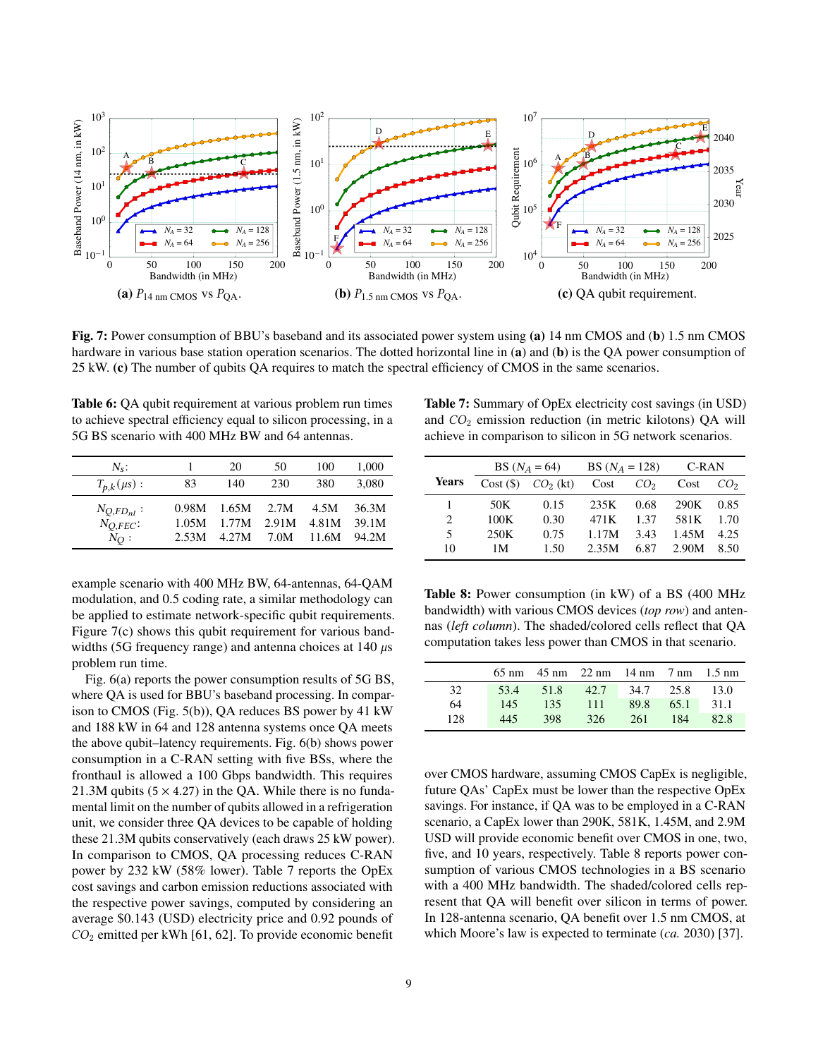<span id="page-8-1"></span>

Fig. 7: Power consumption of BBU's baseband and its associated power system using (a) 14 nm CMOS and (b) 1.5 nm CMOS hardware in various base station operation scenarios. The dotted horizontal line in (a) and (b) is the QA power consumption of 25 kW. (c) The number of qubits QA requires to match the spectral efficiency of CMOS in the same scenarios.

<span id="page-8-0"></span>

| <b>Table 6:</b> QA qubit requirement at various problem run times |
|-------------------------------------------------------------------|
| to achieve spectral efficiency equal to silicon processing, in a  |
| 5G BS scenario with 400 MHz BW and 64 antennas.                   |

| $N_{s}$ :         |       | 20    | 50    | 100   | 1,000 |
|-------------------|-------|-------|-------|-------|-------|
| $T_{p,k}(\mu s):$ | 83    | 140   | 230   | 380   | 3.080 |
| $N_{O,FD_{nl}}$ : | 0.98M | 1.65M | 2.7M  | 4.5M  | 36.3M |
| $N_{O,PEC}$       | 1.05M | 1.77M | 2.91M | 4.81M | 39.1M |
| $N_O$ :           | 2.53M | 4.27M | 7.0M  | 11.6M | 94.2M |

example scenario with 400 MHz BW, 64-antennas, 64-QAM modulation, and 0.5 coding rate, a similar methodology can be applied to estimate network-specific qubit requirements. Figure [7\(c\)](#page-8-1) shows this qubit requirement for various bandwidths (5G frequency range) and antenna choices at 140  $\mu$ s problem run time.

Fig. [6\(a\)](#page-7-1) reports the power consumption results of 5G BS, where QA is used for BBU's baseband processing. In comparison to CMOS (Fig. [5\(b\)\)](#page-7-0), QA reduces BS power by 41 kW and 188 kW in 64 and 128 antenna systems once QA meets the above qubit–latency requirements. Fig. [6\(b\)](#page-7-1) shows power consumption in a C-RAN setting with five BSs, where the fronthaul is allowed a 100 Gbps bandwidth. This requires 21.3M qubits  $(5 \times 4.27)$  in the QA. While there is no fundamental limit on the number of qubits allowed in a refrigeration unit, we consider three QA devices to be capable of holding these 21.3M qubits conservatively (each draws 25 kW power). In comparison to CMOS, QA processing reduces C-RAN power by 232 kW (58% lower). Table [7](#page-8-2) reports the OpEx cost savings and carbon emission reductions associated with the respective power savings, computed by considering an average \$0.143 (USD) electricity price and 0.92 pounds of  $CO<sub>2</sub>$  emitted per kWh [\[61,](#page-11-20) [62\]](#page-11-21). To provide economic benefit

<span id="page-8-2"></span>Table 7: Summary of OpEx electricity cost savings (in USD) and  $CO<sub>2</sub>$  emission reduction (in metric kilotons) QA will achieve in comparison to silicon in 5G network scenarios.

|              | BS $(N_A = 64)$ |            | BS $(N_A = 128)$ |                 | C-RAN |                 |
|--------------|-----------------|------------|------------------|-----------------|-------|-----------------|
| <b>Years</b> | Cost(S)         | $CO2$ (kt) | Cost             | CO <sub>2</sub> | Cost  | CO <sub>2</sub> |
|              | 50K             | 0.15       | 235K             | 0.68            | 290K  | 0.85            |
| 2            | 100K            | 0.30       | 471K             | 1.37            | 581K  | 1.70            |
| 5            | 250K            | 0.75       | 1.17M            | 3.43            | 1.45M | 4.25            |
| 10           | 1 M             | 1.50       | 2.35M            | 6.87            | 2.90M | 8.50            |

<span id="page-8-3"></span>Table 8: Power consumption (in kW) of a BS (400 MHz bandwidth) with various CMOS devices (*top row*) and antennas (*left column*). The shaded/colored cells reflect that QA computation takes less power than CMOS in that scenario.

|     |      |      | $65 \text{ nm}$ 45 nm 22 nm 14 nm 7 nm 1.5 nm |           |      |      |
|-----|------|------|-----------------------------------------------|-----------|------|------|
| 32  | 53.4 | 51.8 | 42.7                                          | 34.7 25.8 |      | 13.0 |
| 64  | 145  | 135  | 111                                           | 89.8      | 65.1 | 31.1 |
| 128 | 445  | 398  | 326                                           | 261       | 184  | 82.8 |

over CMOS hardware, assuming CMOS CapEx is negligible, future QAs' CapEx must be lower than the respective OpEx savings. For instance, if QA was to be employed in a C-RAN scenario, a CapEx lower than 290K, 581K, 1.45M, and 2.9M USD will provide economic benefit over CMOS in one, two, five, and 10 years, respectively. Table [8](#page-8-3) reports power consumption of various CMOS technologies in a BS scenario with a 400 MHz bandwidth. The shaded/colored cells represent that QA will benefit over silicon in terms of power. In 128-antenna scenario, QA benefit over 1.5 nm CMOS, at which Moore's law is expected to terminate (*ca.* 2030) [\[37\]](#page-10-4).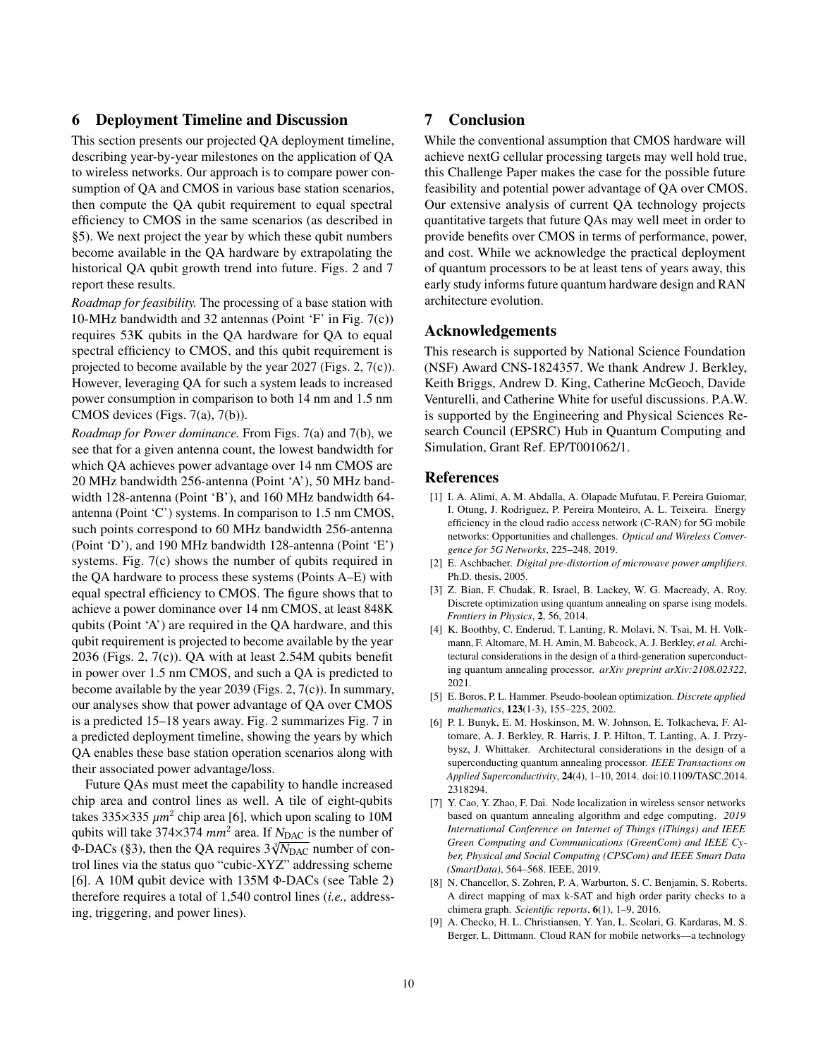#### <span id="page-9-1"></span>6 Deployment Timeline and Discussion

This section presents our projected QA deployment timeline, describing year-by-year milestones on the application of QA to wireless networks. Our approach is to compare power consumption of QA and CMOS in various base station scenarios, then compute the QA qubit requirement to equal spectral efficiency to CMOS in the same scenarios (as described in [§5\)](#page-6-0). We next project the year by which these qubit numbers become available in the QA hardware by extrapolating the historical QA qubit growth trend into future. Figs. [2](#page-1-0) and [7](#page-8-1) report these results.

*Roadmap for feasibility.* The processing of a base station with 10-MHz bandwidth and 32 antennas (Point 'F' in Fig. [7\(c\)\)](#page-8-1) requires 53K qubits in the QA hardware for QA to equal spectral efficiency to CMOS, and this qubit requirement is projected to become available by the year 2027 (Figs. [2,](#page-1-0) [7\(c\)\)](#page-8-1). However, leveraging QA for such a system leads to increased power consumption in comparison to both 14 nm and 1.5 nm CMOS devices (Figs. [7\(a\), 7\(b\)\)](#page-8-1).

*Roadmap for Power dominance.* From Figs. [7\(a\)](#page-8-1) and [7\(b\),](#page-8-1) we see that for a given antenna count, the lowest bandwidth for which QA achieves power advantage over 14 nm CMOS are 20 MHz bandwidth 256-antenna (Point 'A'), 50 MHz bandwidth 128-antenna (Point 'B'), and 160 MHz bandwidth 64 antenna (Point 'C') systems. In comparison to 1.5 nm CMOS, such points correspond to 60 MHz bandwidth 256-antenna (Point 'D'), and 190 MHz bandwidth 128-antenna (Point 'E') systems. Fig. [7\(c\)](#page-8-1) shows the number of qubits required in the QA hardware to process these systems (Points A–E) with equal spectral efficiency to CMOS. The figure shows that to achieve a power dominance over 14 nm CMOS, at least 848K qubits (Point 'A') are required in the QA hardware, and this qubit requirement is projected to become available by the year 2036 (Figs. [2,](#page-1-0) [7\(c\)\)](#page-8-1). QA with at least 2.54M qubits benefit in power over 1.5 nm CMOS, and such a QA is predicted to become available by the year 2039 (Figs. [2,](#page-1-0) [7\(c\)\)](#page-8-1). In summary, our analyses show that power advantage of QA over CMOS is a predicted 15–18 years away. Fig. [2](#page-1-0) summarizes Fig. [7](#page-8-1) in a predicted deployment timeline, showing the years by which QA enables these base station operation scenarios along with their associated power advantage/loss.

Future QAs must meet the capability to handle increased chip area and control lines as well. A tile of eight-qubits takes 335 $\times$ 335  $\mu$ m<sup>2</sup> chip area [\[6\]](#page-9-6), which upon scaling to 10M qubits will take 374 $\times$ 374 mm<sup>2</sup> area. If N<sub>DAC</sub> is the number of Φ-DACs ([§3\)](#page-2-0), then the QA requires  $3\sqrt[3]{N_{\text{DAC}}}$  number of control lines via the status quo "cubic-XYZ" addressing scheme [\[6\]](#page-9-6). A 10M qubit device with 135M Φ-DACs (see Table [2\)](#page-3-5) therefore requires a total of 1,540 control lines (*i.e.,* addressing, triggering, and power lines).

## 7 Conclusion

While the conventional assumption that CMOS hardware will achieve nextG cellular processing targets may well hold true, this Challenge Paper makes the case for the possible future feasibility and potential power advantage of QA over CMOS. Our extensive analysis of current QA technology projects quantitative targets that future QAs may well meet in order to provide benefits over CMOS in terms of performance, power, and cost. While we acknowledge the practical deployment of quantum processors to be at least tens of years away, this early study informs future quantum hardware design and RAN architecture evolution.

#### Acknowledgements

This research is supported by National Science Foundation (NSF) Award CNS-1824357. We thank Andrew J. Berkley, Keith Briggs, Andrew D. King, Catherine McGeoch, Davide Venturelli, and Catherine White for useful discussions. P.A.W. is supported by the Engineering and Physical Sciences Research Council (EPSRC) Hub in Quantum Computing and Simulation, Grant Ref. EP/T001062/1.

#### References

- <span id="page-9-9"></span>[1] I. A. Alimi, A. M. Abdalla, A. Olapade Mufutau, F. Pereira Guiomar, I. Otung, J. Rodriguez, P. Pereira Monteiro, A. L. Teixeira. Energy efficiency in the cloud radio access network (C-RAN) for 5G mobile networks: Opportunities and challenges. *Optical and Wireless Convergence for 5G Networks*, 225–248, 2019.
- <span id="page-9-7"></span>[2] E. Aschbacher. *Digital pre-distortion of microwave power amplifiers*. Ph.D. thesis, 2005.
- <span id="page-9-2"></span>[3] Z. Bian, F. Chudak, R. Israel, B. Lackey, W. G. Macready, A. Roy. Discrete optimization using quantum annealing on sparse ising models. *Frontiers in Physics*, 2, 56, 2014.
- <span id="page-9-5"></span>[4] K. Boothby, C. Enderud, T. Lanting, R. Molavi, N. Tsai, M. H. Volkmann, F. Altomare, M. H. Amin, M. Babcock, A. J. Berkley, *et al.* Architectural considerations in the design of a third-generation superconducting quantum annealing processor. *arXiv preprint arXiv:2108.02322*, 2021.
- <span id="page-9-8"></span>[5] E. Boros, P. L. Hammer. Pseudo-boolean optimization. *Discrete applied mathematics*, 123(1-3), 155–225, 2002.
- <span id="page-9-6"></span>[6] P. I. Bunyk, E. M. Hoskinson, M. W. Johnson, E. Tolkacheva, F. Altomare, A. J. Berkley, R. Harris, J. P. Hilton, T. Lanting, A. J. Przybysz, J. Whittaker. Architectural considerations in the design of a superconducting quantum annealing processor. *IEEE Transactions on Applied Superconductivity*, 24(4), 1–10, 2014. doi:10.1109/TASC.2014. 2318294.
- <span id="page-9-3"></span>[7] Y. Cao, Y. Zhao, F. Dai. Node localization in wireless sensor networks based on quantum annealing algorithm and edge computing. *2019 International Conference on Internet of Things (iThings) and IEEE Green Computing and Communications (GreenCom) and IEEE Cyber, Physical and Social Computing (CPSCom) and IEEE Smart Data (SmartData)*, 564–568. IEEE, 2019.
- <span id="page-9-4"></span>[8] N. Chancellor, S. Zohren, P. A. Warburton, S. C. Benjamin, S. Roberts. A direct mapping of max k-SAT and high order parity checks to a chimera graph. *Scientific reports*, 6(1), 1–9, 2016.
- <span id="page-9-0"></span>[9] A. Checko, H. L. Christiansen, Y. Yan, L. Scolari, G. Kardaras, M. S. Berger, L. Dittmann. Cloud RAN for mobile networks—a technology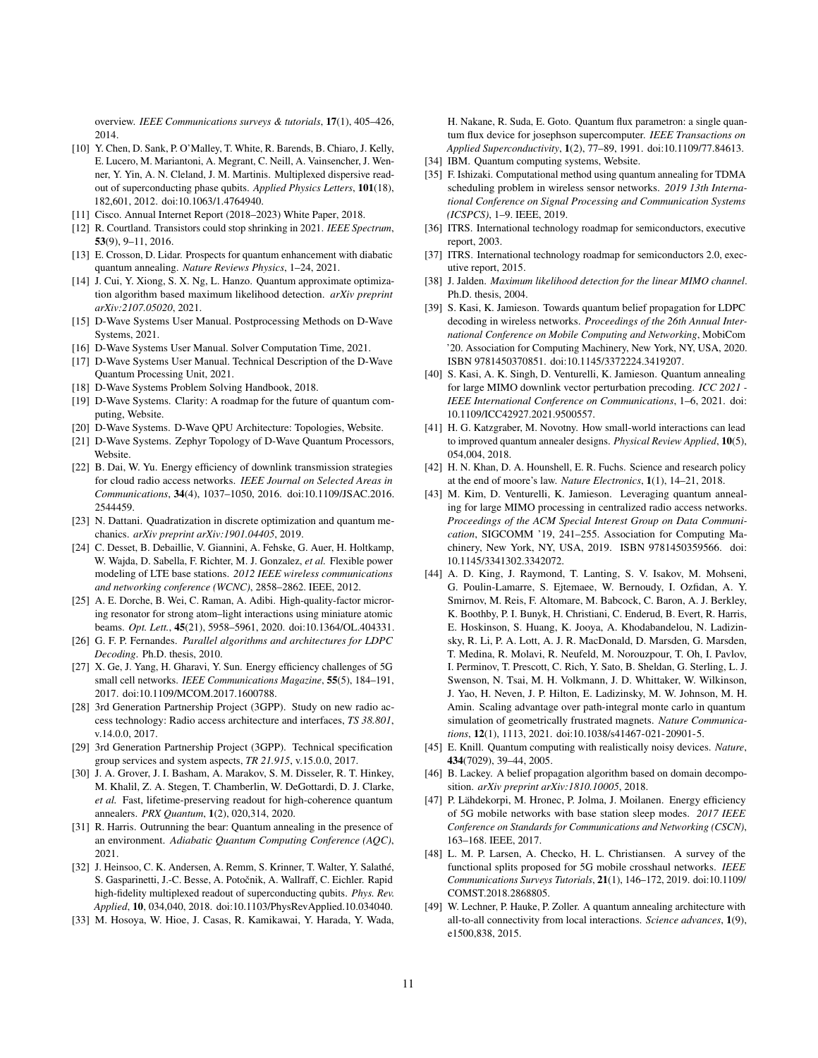overview. *IEEE Communications surveys & tutorials*, 17(1), 405–426, 2014.

- <span id="page-10-25"></span>[10] Y. Chen, D. Sank, P. O'Malley, T. White, R. Barends, B. Chiaro, J. Kelly, E. Lucero, M. Mariantoni, A. Megrant, C. Neill, A. Vainsencher, J. Wenner, Y. Yin, A. N. Cleland, J. M. Martinis. Multiplexed dispersive readout of superconducting phase qubits. *Applied Physics Letters*, 101(18), 182,601, 2012. doi:10.1063/1.4764940.
- <span id="page-10-0"></span>[11] Cisco. Annual Internet Report (2018–2023) White Paper, 2018.
- <span id="page-10-3"></span>[12] R. Courtland. Transistors could stop shrinking in 2021. *IEEE Spectrum*, 53(9), 9–11, 2016.
- <span id="page-10-14"></span>[13] E. Crosson, D. Lidar. Prospects for quantum enhancement with diabatic quantum annealing. *Nature Reviews Physics*, 1–24, 2021.
- <span id="page-10-8"></span>[14] J. Cui, Y. Xiong, S. X. Ng, L. Hanzo. Quantum approximate optimization algorithm based maximum likelihood detection. *arXiv preprint arXiv:2107.05020*, 2021.
- <span id="page-10-30"></span>[15] D-Wave Systems User Manual. Postprocessing Methods on D-Wave Systems, 2021.
- <span id="page-10-23"></span>[16] D-Wave Systems User Manual. Solver Computation Time, 2021.
- <span id="page-10-15"></span>[17] D-Wave Systems User Manual. Technical Description of the D-Wave Quantum Processing Unit, 2021.
- <span id="page-10-17"></span>[18] D-Wave Systems Problem Solving Handbook, 2018.
- <span id="page-10-6"></span>[19] D-Wave Systems. Clarity: A roadmap for the future of quantum computing, Website.
- <span id="page-10-20"></span>[20] D-Wave Systems. D-Wave QPU Architecture: Topologies, Website.
- <span id="page-10-7"></span>[21] D-Wave Systems. Zephyr Topology of D-Wave Quantum Processors, Website.
- <span id="page-10-35"></span>[22] B. Dai, W. Yu. Energy efficiency of downlink transmission strategies for cloud radio access networks. *IEEE Journal on Selected Areas in Communications*, 34(4), 1037–1050, 2016. doi:10.1109/JSAC.2016. 2544459.
- <span id="page-10-19"></span>[23] N. Dattani. Quadratization in discrete optimization and quantum mechanics. *arXiv preprint arXiv:1901.04405*, 2019.
- <span id="page-10-31"></span>[24] C. Desset, B. Debaillie, V. Giannini, A. Fehske, G. Auer, H. Holtkamp, W. Wajda, D. Sabella, F. Richter, M. J. Gonzalez, *et al.* Flexible power modeling of LTE base stations. *2012 IEEE wireless communications and networking conference (WCNC)*, 2858–2862. IEEE, 2012.
- <span id="page-10-27"></span>[25] A. E. Dorche, B. Wei, C. Raman, A. Adibi. High-quality-factor microring resonator for strong atom–light interactions using miniature atomic beams. *Opt. Lett.*, 45(21), 5958–5961, 2020. doi:10.1364/OL.404331.
- <span id="page-10-39"></span>[26] G. F. P. Fernandes. *Parallel algorithms and architectures for LDPC Decoding*. Ph.D. thesis, 2010.
- <span id="page-10-32"></span>[27] X. Ge, J. Yang, H. Gharavi, Y. Sun. Energy efficiency challenges of 5G small cell networks. *IEEE Communications Magazine*, 55(5), 184–191, 2017. doi:10.1109/MCOM.2017.1600788.
- <span id="page-10-33"></span>[28] 3rd Generation Partnership Project (3GPP). Study on new radio access technology: Radio access architecture and interfaces, *TS 38.801*, v.14.0.0, 2017.
- <span id="page-10-1"></span>[29] 3rd Generation Partnership Project (3GPP). Technical specification group services and system aspects, *TR 21.915*, v.15.0.0, 2017.
- <span id="page-10-28"></span>[30] J. A. Grover, J. I. Basham, A. Marakov, S. M. Disseler, R. T. Hinkey, M. Khalil, Z. A. Stegen, T. Chamberlin, W. DeGottardi, D. J. Clarke, *et al.* Fast, lifetime-preserving readout for high-coherence quantum annealers. *PRX Quantum*, 1(2), 020,314, 2020.
- <span id="page-10-24"></span>[31] R. Harris. Outrunning the bear: Quantum annealing in the presence of an environment. *Adiabatic Quantum Computing Conference (AQC)*, 2021.
- <span id="page-10-26"></span>[32] J. Heinsoo, C. K. Andersen, A. Remm, S. Krinner, T. Walter, Y. Salathé, S. Gasparinetti, J.-C. Besse, A. Potočnik, A. Wallraff, C. Eichler. Rapid high-fidelity multiplexed readout of superconducting qubits. *Phys. Rev. Applied*, 10, 034,040, 2018. doi:10.1103/PhysRevApplied.10.034040.
- <span id="page-10-29"></span>[33] M. Hosoya, W. Hioe, J. Casas, R. Kamikawai, Y. Harada, Y. Wada,

H. Nakane, R. Suda, E. Goto. Quantum flux parametron: a single quantum flux device for josephson supercomputer. *IEEE Transactions on Applied Superconductivity*, 1(2), 77–89, 1991. doi:10.1109/77.84613.

- <span id="page-10-18"></span>[34] IBM. Quantum computing systems, Website.
- <span id="page-10-9"></span>[35] F. Ishizaki. Computational method using quantum annealing for TDMA scheduling problem in wireless sensor networks. *2019 13th International Conference on Signal Processing and Communication Systems (ICSPCS)*, 1–9. IEEE, 2019.
- <span id="page-10-36"></span>[36] ITRS. International technology roadmap for semiconductors, executive report, 2003.
- <span id="page-10-4"></span>[37] ITRS. International technology roadmap for semiconductors 2.0, executive report, 2015.
- <span id="page-10-38"></span>[38] J. Jalden. *Maximum likelihood detection for the linear MIMO channel*. Ph.D. thesis, 2004.
- <span id="page-10-10"></span>[39] S. Kasi, K. Jamieson. Towards quantum belief propagation for LDPC decoding in wireless networks. *Proceedings of the 26th Annual International Conference on Mobile Computing and Networking*, MobiCom '20. Association for Computing Machinery, New York, NY, USA, 2020. ISBN 9781450370851. doi:10.1145/3372224.3419207.
- <span id="page-10-11"></span>[40] S. Kasi, A. K. Singh, D. Venturelli, K. Jamieson. Quantum annealing for large MIMO downlink vector perturbation precoding. *ICC 2021 - IEEE International Conference on Communications*, 1–6, 2021. doi: 10.1109/ICC42927.2021.9500557.
- <span id="page-10-21"></span>[41] H. G. Katzgraber, M. Novotny. How small-world interactions can lead to improved quantum annealer designs. *Physical Review Applied*, 10(5), 054,004, 2018.
- <span id="page-10-5"></span>[42] H. N. Khan, D. A. Hounshell, E. R. Fuchs. Science and research policy at the end of moore's law. *Nature Electronics*, 1(1), 14–21, 2018.
- <span id="page-10-12"></span>[43] M. Kim, D. Venturelli, K. Jamieson. Leveraging quantum annealing for large MIMO processing in centralized radio access networks. *Proceedings of the ACM Special Interest Group on Data Communication*, SIGCOMM '19, 241–255. Association for Computing Machinery, New York, NY, USA, 2019. ISBN 9781450359566. doi: 10.1145/3341302.3342072.
- <span id="page-10-37"></span>[44] A. D. King, J. Raymond, T. Lanting, S. V. Isakov, M. Mohseni, G. Poulin-Lamarre, S. Ejtemaee, W. Bernoudy, I. Ozfidan, A. Y. Smirnov, M. Reis, F. Altomare, M. Babcock, C. Baron, A. J. Berkley, K. Boothby, P. I. Bunyk, H. Christiani, C. Enderud, B. Evert, R. Harris, E. Hoskinson, S. Huang, K. Jooya, A. Khodabandelou, N. Ladizinsky, R. Li, P. A. Lott, A. J. R. MacDonald, D. Marsden, G. Marsden, T. Medina, R. Molavi, R. Neufeld, M. Norouzpour, T. Oh, I. Pavlov, I. Perminov, T. Prescott, C. Rich, Y. Sato, B. Sheldan, G. Sterling, L. J. Swenson, N. Tsai, M. H. Volkmann, J. D. Whittaker, W. Wilkinson, J. Yao, H. Neven, J. P. Hilton, E. Ladizinsky, M. W. Johnson, M. H. Amin. Scaling advantage over path-integral monte carlo in quantum simulation of geometrically frustrated magnets. *Nature Communications*, 12(1), 1113, 2021. doi:10.1038/s41467-021-20901-5.
- <span id="page-10-16"></span>[45] E. Knill. Quantum computing with realistically noisy devices. *Nature*, 434(7029), 39–44, 2005.
- <span id="page-10-13"></span>[46] B. Lackey. A belief propagation algorithm based on domain decomposition. *arXiv preprint arXiv:1810.10005*, 2018.
- <span id="page-10-2"></span>[47] P. Lähdekorpi, M. Hronec, P. Jolma, J. Moilanen. Energy efficiency of 5G mobile networks with base station sleep modes. *2017 IEEE Conference on Standards for Communications and Networking (CSCN)*, 163–168. IEEE, 2017.
- <span id="page-10-34"></span>[48] L. M. P. Larsen, A. Checko, H. L. Christiansen. A survey of the functional splits proposed for 5G mobile crosshaul networks. *IEEE Communications Surveys Tutorials*, 21(1), 146–172, 2019. doi:10.1109/ COMST.2018.2868805.
- <span id="page-10-22"></span>[49] W. Lechner, P. Hauke, P. Zoller. A quantum annealing architecture with all-to-all connectivity from local interactions. *Science advances*, 1(9), e1500,838, 2015.